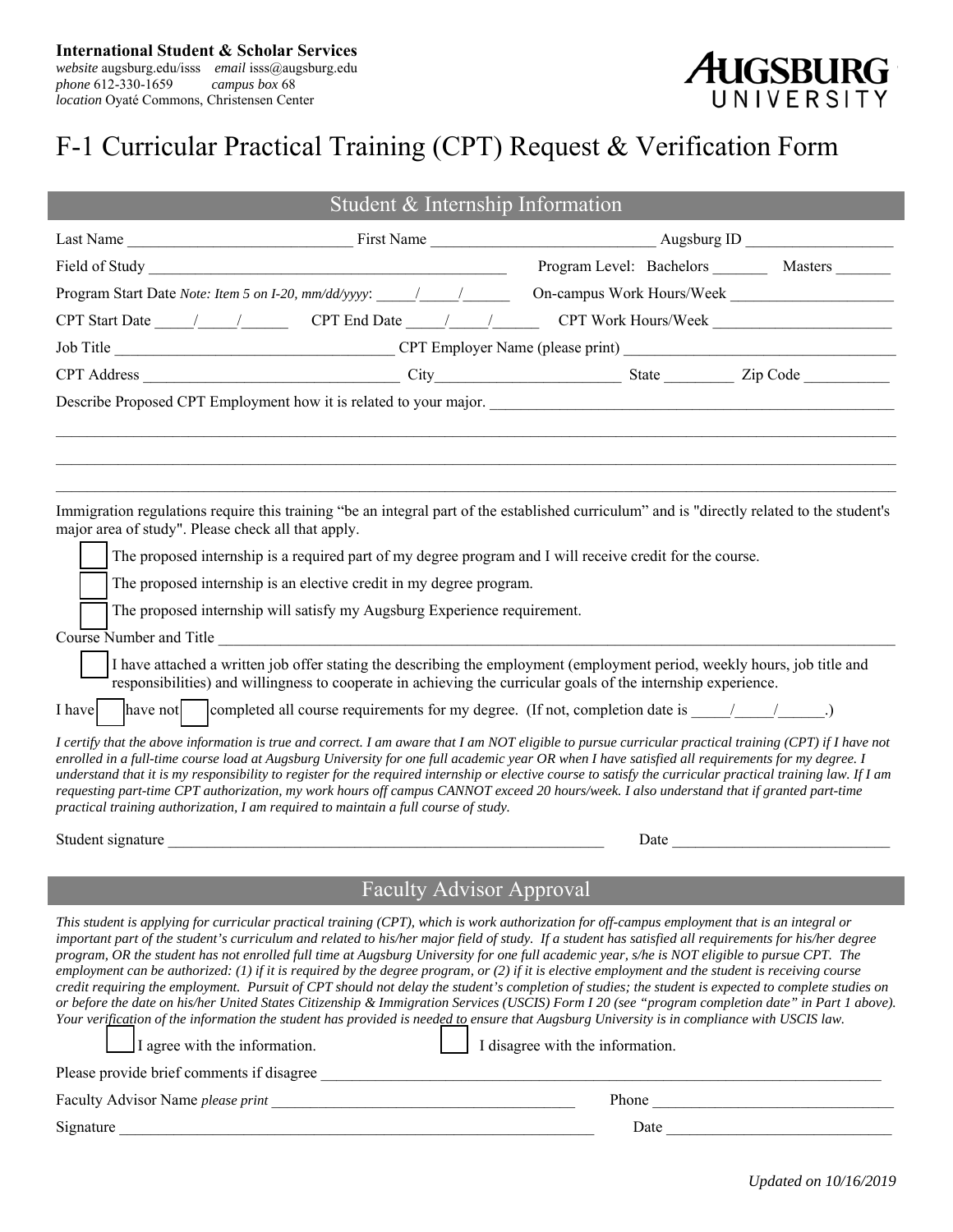*website* augsburg.edu/isss *email* isss@augsburg.edu *phone* 612-330-1659 *campus box* 68 *location* Oyaté Commons, Christensen Center

# AUGSBURG

# F-1 Curricular Practical Training (CPT) Request & Verification Form

| Student & Internship Information                                                                                                                                                                                                                                                                                                                                                                                                                                                                                                                                                                                                                                                                                                                                                                                                                                                                                                                                                                                                                                                                                                                                                                                                                                                                                                                                                                                                                                                                  |  |                                                    |                                                                                                                                                                                                                               |
|---------------------------------------------------------------------------------------------------------------------------------------------------------------------------------------------------------------------------------------------------------------------------------------------------------------------------------------------------------------------------------------------------------------------------------------------------------------------------------------------------------------------------------------------------------------------------------------------------------------------------------------------------------------------------------------------------------------------------------------------------------------------------------------------------------------------------------------------------------------------------------------------------------------------------------------------------------------------------------------------------------------------------------------------------------------------------------------------------------------------------------------------------------------------------------------------------------------------------------------------------------------------------------------------------------------------------------------------------------------------------------------------------------------------------------------------------------------------------------------------------|--|----------------------------------------------------|-------------------------------------------------------------------------------------------------------------------------------------------------------------------------------------------------------------------------------|
|                                                                                                                                                                                                                                                                                                                                                                                                                                                                                                                                                                                                                                                                                                                                                                                                                                                                                                                                                                                                                                                                                                                                                                                                                                                                                                                                                                                                                                                                                                   |  |                                                    |                                                                                                                                                                                                                               |
|                                                                                                                                                                                                                                                                                                                                                                                                                                                                                                                                                                                                                                                                                                                                                                                                                                                                                                                                                                                                                                                                                                                                                                                                                                                                                                                                                                                                                                                                                                   |  | Program Level: Bachelors _________ Masters _______ |                                                                                                                                                                                                                               |
| Program Start Date Note: Item 5 on I-20, mm/dd/yyyy: ____________________________                                                                                                                                                                                                                                                                                                                                                                                                                                                                                                                                                                                                                                                                                                                                                                                                                                                                                                                                                                                                                                                                                                                                                                                                                                                                                                                                                                                                                 |  | On-campus Work Hours/Week                          |                                                                                                                                                                                                                               |
|                                                                                                                                                                                                                                                                                                                                                                                                                                                                                                                                                                                                                                                                                                                                                                                                                                                                                                                                                                                                                                                                                                                                                                                                                                                                                                                                                                                                                                                                                                   |  |                                                    |                                                                                                                                                                                                                               |
|                                                                                                                                                                                                                                                                                                                                                                                                                                                                                                                                                                                                                                                                                                                                                                                                                                                                                                                                                                                                                                                                                                                                                                                                                                                                                                                                                                                                                                                                                                   |  |                                                    |                                                                                                                                                                                                                               |
|                                                                                                                                                                                                                                                                                                                                                                                                                                                                                                                                                                                                                                                                                                                                                                                                                                                                                                                                                                                                                                                                                                                                                                                                                                                                                                                                                                                                                                                                                                   |  |                                                    |                                                                                                                                                                                                                               |
|                                                                                                                                                                                                                                                                                                                                                                                                                                                                                                                                                                                                                                                                                                                                                                                                                                                                                                                                                                                                                                                                                                                                                                                                                                                                                                                                                                                                                                                                                                   |  |                                                    |                                                                                                                                                                                                                               |
| Immigration regulations require this training "be an integral part of the established curriculum" and is "directly related to the student's<br>major area of study". Please check all that apply.<br>The proposed internship is a required part of my degree program and I will receive credit for the course.<br>The proposed internship is an elective credit in my degree program.<br>The proposed internship will satisfy my Augsburg Experience requirement.<br>Course Number and Title<br>I have attached a written job offer stating the describing the employment (employment period, weekly hours, job title and<br>responsibilities) and willingness to cooperate in achieving the curricular goals of the internship experience.<br>have not completed all course requirements for my degree. (If not, completion date is $\frac{1}{\sqrt{2}}$ )<br>I have<br>I certify that the above information is true and correct. I am aware that I am NOT eligible to pursue curricular practical training (CPT) if I have not<br>enrolled in a full-time course load at Augsburg University for one full academic year OR when I have satisfied all requirements for my degree. I<br>understand that it is my responsibility to register for the required internship or elective course to satisfy the curricular practical training law. If I am<br>requesting part-time CPT authorization, my work hours off campus CANNOT exceed 20 hours/week. I also understand that if granted part-time |  |                                                    |                                                                                                                                                                                                                               |
| practical training authorization, I am required to maintain a full course of study.                                                                                                                                                                                                                                                                                                                                                                                                                                                                                                                                                                                                                                                                                                                                                                                                                                                                                                                                                                                                                                                                                                                                                                                                                                                                                                                                                                                                               |  |                                                    |                                                                                                                                                                                                                               |
|                                                                                                                                                                                                                                                                                                                                                                                                                                                                                                                                                                                                                                                                                                                                                                                                                                                                                                                                                                                                                                                                                                                                                                                                                                                                                                                                                                                                                                                                                                   |  |                                                    | Date and the same state of the state of the state of the state of the state of the state of the state of the state of the state of the state of the state of the state of the state of the state of the state of the state of |
| Faculty Advisor Approval                                                                                                                                                                                                                                                                                                                                                                                                                                                                                                                                                                                                                                                                                                                                                                                                                                                                                                                                                                                                                                                                                                                                                                                                                                                                                                                                                                                                                                                                          |  |                                                    |                                                                                                                                                                                                                               |
| This student is applying for curricular practical training (CPT), which is work authorization for off-campus employment that is an integral or<br>important part of the student's curriculum and related to his/her major field of study. If a student has satisfied all requirements for his/her degree<br>program, OR the student has not enrolled full time at Augsburg University for one full academic year, s/he is NOT eligible to pursue CPT. The<br>employment can be authorized: (1) if it is required by the degree program, or (2) if it is elective employment and the student is receiving course<br>credit requiring the employment. Pursuit of CPT should not delay the student's completion of studies; the student is expected to complete studies on<br>or before the date on his/her United States Citizenship & Immigration Services (USCIS) Form I 20 (see "program completion date" in Part 1 above).<br>Your verification of the information the student has provided is needed to ensure that Augsburg University is in compliance with USCIS law.<br>I disagree with the information.<br>$\Box$ I agree with the information.<br>Please provide brief comments if disagree                                                                                                                                                                                                                                                                                              |  |                                                    |                                                                                                                                                                                                                               |
|                                                                                                                                                                                                                                                                                                                                                                                                                                                                                                                                                                                                                                                                                                                                                                                                                                                                                                                                                                                                                                                                                                                                                                                                                                                                                                                                                                                                                                                                                                   |  |                                                    | Phone                                                                                                                                                                                                                         |
| Signature                                                                                                                                                                                                                                                                                                                                                                                                                                                                                                                                                                                                                                                                                                                                                                                                                                                                                                                                                                                                                                                                                                                                                                                                                                                                                                                                                                                                                                                                                         |  |                                                    |                                                                                                                                                                                                                               |

*Updated on 10/16/2019*